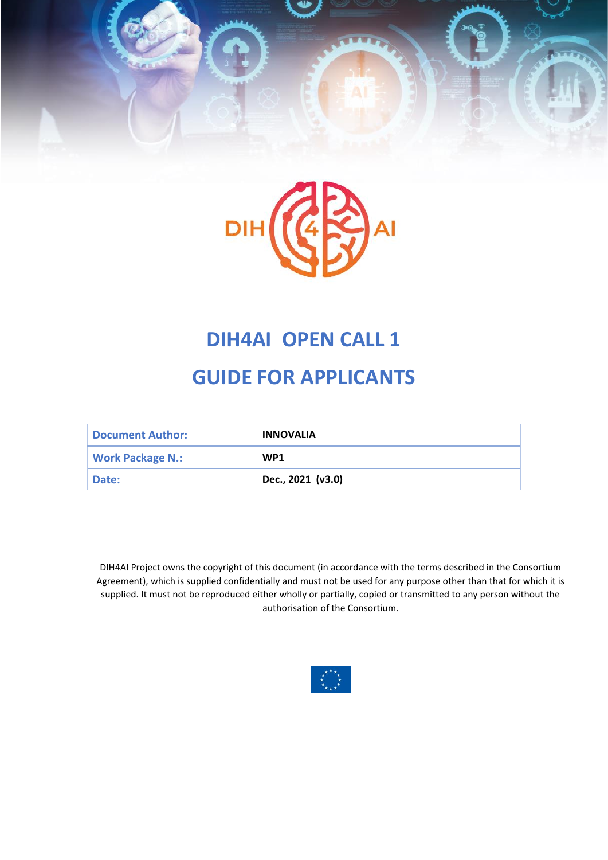



# **DIH4AI OPEN CALL 1**

# **GUIDE FOR APPLICANTS**

| <b>Document Author:</b> | <b>INNOVALIA</b>  |
|-------------------------|-------------------|
| <b>Work Package N.:</b> | WP <sub>1</sub>   |
| Date:                   | Dec., 2021 (v3.0) |

DIH4AI Project owns the copyright of this document (in accordance with the terms described in the Consortium Agreement), which is supplied confidentially and must not be used for any purpose other than that for which it is supplied. It must not be reproduced either wholly or partially, copied or transmitted to any person without the authorisation of the Consortium.

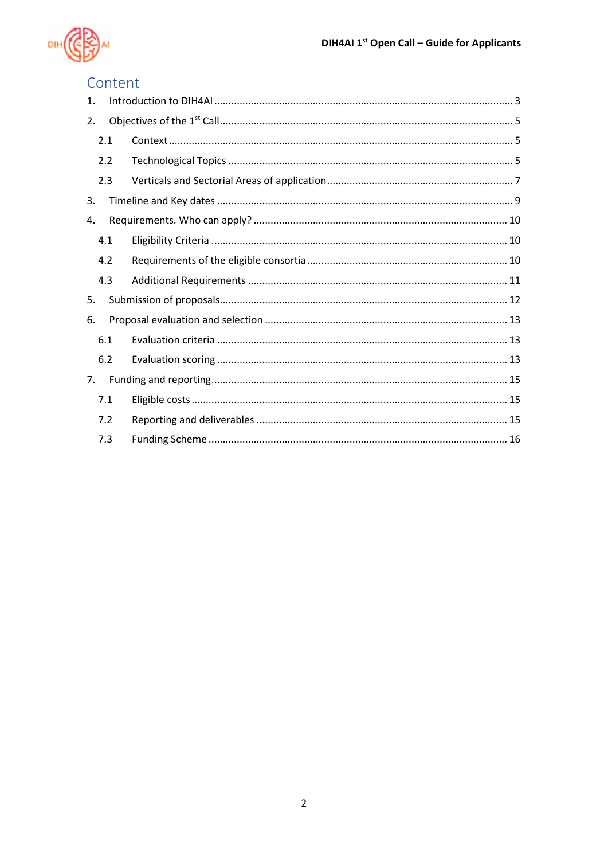

## Content

| 1.  |  |  |  |  |  |  |  |
|-----|--|--|--|--|--|--|--|
| 2.  |  |  |  |  |  |  |  |
| 2.1 |  |  |  |  |  |  |  |
| 2.2 |  |  |  |  |  |  |  |
| 2.3 |  |  |  |  |  |  |  |
| 3.  |  |  |  |  |  |  |  |
| 4.  |  |  |  |  |  |  |  |
| 4.1 |  |  |  |  |  |  |  |
| 4.2 |  |  |  |  |  |  |  |
| 4.3 |  |  |  |  |  |  |  |
| 5.  |  |  |  |  |  |  |  |
| 6.  |  |  |  |  |  |  |  |
| 6.1 |  |  |  |  |  |  |  |
| 6.2 |  |  |  |  |  |  |  |
| 7.  |  |  |  |  |  |  |  |
| 7.1 |  |  |  |  |  |  |  |
| 7.2 |  |  |  |  |  |  |  |
| 7.3 |  |  |  |  |  |  |  |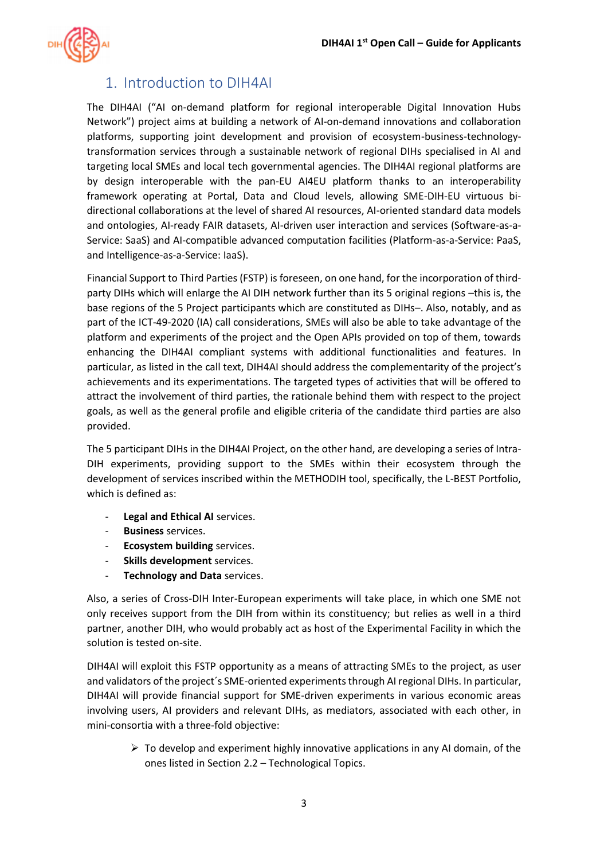

### <span id="page-2-0"></span>1. Introduction to DIH4AI

The DIH4AI ("AI on-demand platform for regional interoperable Digital Innovation Hubs Network") project aims at building a network of AI-on-demand innovations and collaboration platforms, supporting joint development and provision of ecosystem-business-technologytransformation services through a sustainable network of regional DIHs specialised in AI and targeting local SMEs and local tech governmental agencies. The DIH4AI regional platforms are by design interoperable with the pan-EU AI4EU platform thanks to an interoperability framework operating at Portal, Data and Cloud levels, allowing SME-DIH-EU virtuous bidirectional collaborations at the level of shared AI resources, AI-oriented standard data models and ontologies, AI-ready FAIR datasets, AI-driven user interaction and services (Software-as-a-Service: SaaS) and AI-compatible advanced computation facilities (Platform-as-a-Service: PaaS, and Intelligence-as-a-Service: IaaS).

Financial Support to Third Parties (FSTP) is foreseen, on one hand, for the incorporation of thirdparty DIHs which will enlarge the AI DIH network further than its 5 original regions –this is, the base regions of the 5 Project participants which are constituted as DIHs–. Also, notably, and as part of the ICT-49-2020 (IA) call considerations, SMEs will also be able to take advantage of the platform and experiments of the project and the Open APIs provided on top of them, towards enhancing the DIH4AI compliant systems with additional functionalities and features. In particular, as listed in the call text, DIH4AI should address the complementarity of the project's achievements and its experimentations. The targeted types of activities that will be offered to attract the involvement of third parties, the rationale behind them with respect to the project goals, as well as the general profile and eligible criteria of the candidate third parties are also provided.

The 5 participant DIHs in the DIH4AI Project, on the other hand, are developing a series of Intra-DIH experiments, providing support to the SMEs within their ecosystem through the development of services inscribed within the METHODIH tool, specifically, the L-BEST Portfolio, which is defined as:

- **Legal and Ethical AI** services.
- **Business** services.
- **Ecosystem building** services.
- **Skills development** services.
- **Technology and Data** services.

Also, a series of Cross-DIH Inter-European experiments will take place, in which one SME not only receives support from the DIH from within its constituency; but relies as well in a third partner, another DIH, who would probably act as host of the Experimental Facility in which the solution is tested on-site.

DIH4AI will exploit this FSTP opportunity as a means of attracting SMEs to the project, as user and validators of the project´s SME-oriented experimentsthrough AI regional DIHs. In particular, DIH4AI will provide financial support for SME-driven experiments in various economic areas involving users, AI providers and relevant DIHs, as mediators, associated with each other, in mini-consortia with a three-fold objective:

 $\triangleright$  To develop and experiment highly innovative applications in any AI domain, of the ones listed in Sectio[n 2.2](#page-4-2) – [Technological Topics.](#page-4-2)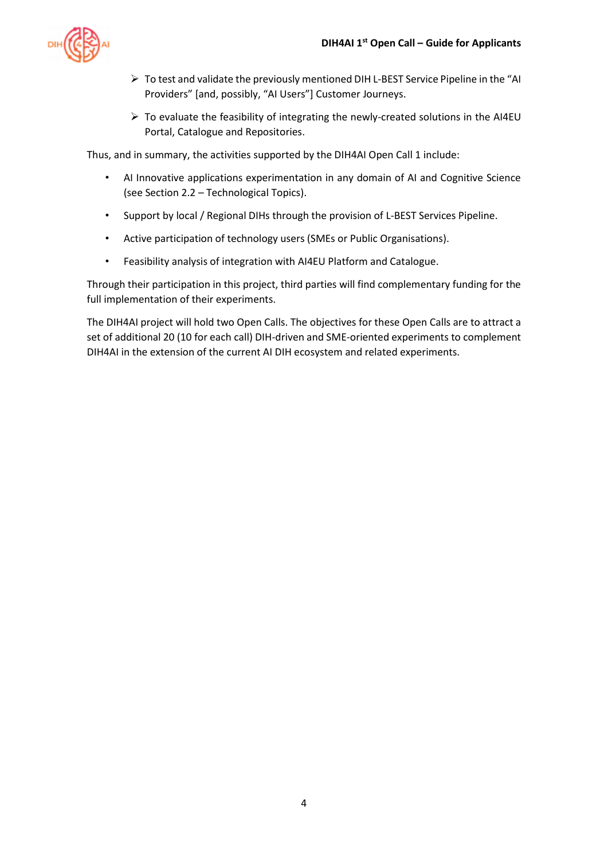

- ➢ To test and validate the previously mentioned DIH L-BEST Service Pipeline in the "AI Providers" [and, possibly, "AI Users"] Customer Journeys.
- $\triangleright$  To evaluate the feasibility of integrating the newly-created solutions in the AI4EU Portal, Catalogue and Repositories.

Thus, and in summary, the activities supported by the DIH4AI Open Call 1 include:

- AI Innovative applications experimentation in any domain of AI and Cognitive Science (see Sectio[n 2.2](#page-4-2) – [Technological Topics\)](#page-4-2).
- Support by local / Regional DIHs through the provision of L-BEST Services Pipeline.
- Active participation of technology users (SMEs or Public Organisations).
- Feasibility analysis of integration with AI4EU Platform and Catalogue.

Through their participation in this project, third parties will find complementary funding for the full implementation of their experiments.

The DIH4AI project will hold two Open Calls. The objectives for these Open Calls are to attract a set of additional 20 (10 for each call) DIH-driven and SME-oriented experiments to complement DIH4AI in the extension of the current AI DIH ecosystem and related experiments.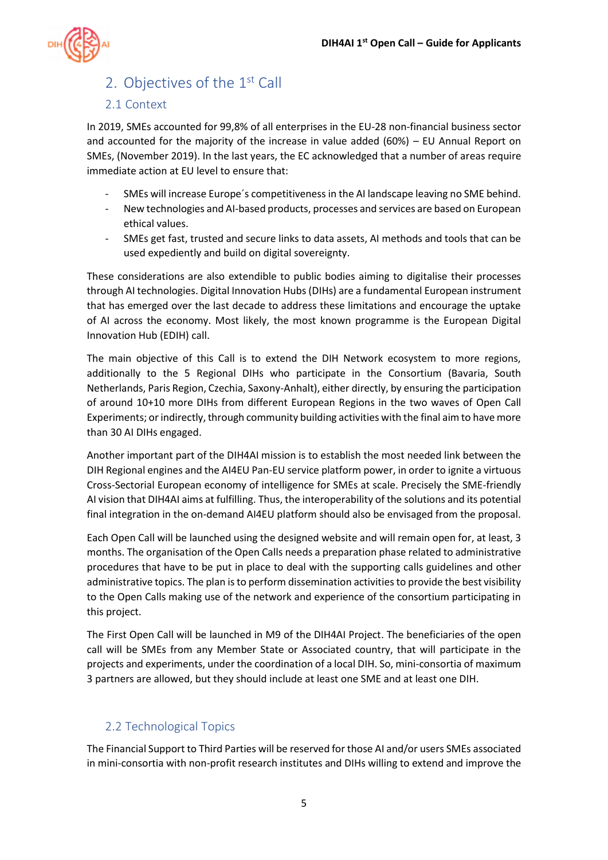

## <span id="page-4-0"></span>2. Objectives of the 1<sup>st</sup> Call

#### <span id="page-4-1"></span>2.1 Context

In 2019, SMEs accounted for 99,8% of all enterprises in the EU-28 non-financial business sector and accounted for the majority of the increase in value added (60%) – EU Annual Report on SMEs, (November 2019). In the last years, the EC acknowledged that a number of areas require immediate action at EU level to ensure that:

- SMEs will increase Europe's competitiveness in the AI landscape leaving no SME behind.
- New technologies and AI-based products, processes and services are based on European ethical values.
- SMEs get fast, trusted and secure links to data assets, AI methods and tools that can be used expediently and build on digital sovereignty.

These considerations are also extendible to public bodies aiming to digitalise their processes through AI technologies. Digital Innovation Hubs (DIHs) are a fundamental European instrument that has emerged over the last decade to address these limitations and encourage the uptake of AI across the economy. Most likely, the most known programme is the European Digital Innovation Hub (EDIH) call.

The main objective of this Call is to extend the DIH Network ecosystem to more regions, additionally to the 5 Regional DIHs who participate in the Consortium (Bavaria, South Netherlands, Paris Region, Czechia, Saxony-Anhalt), either directly, by ensuring the participation of around 10+10 more DIHs from different European Regions in the two waves of Open Call Experiments; or indirectly, through community building activities with the final aim to have more than 30 AI DIHs engaged.

Another important part of the DIH4AI mission is to establish the most needed link between the DIH Regional engines and the AI4EU Pan-EU service platform power, in order to ignite a virtuous Cross-Sectorial European economy of intelligence for SMEs at scale. Precisely the SME-friendly AI vision that DIH4AI aims at fulfilling. Thus, the interoperability of the solutions and its potential final integration in the on-demand AI4EU platform should also be envisaged from the proposal.

Each Open Call will be launched using the designed website and will remain open for, at least, 3 months. The organisation of the Open Calls needs a preparation phase related to administrative procedures that have to be put in place to deal with the supporting calls guidelines and other administrative topics. The plan is to perform dissemination activities to provide the best visibility to the Open Calls making use of the network and experience of the consortium participating in this project.

The First Open Call will be launched in M9 of the DIH4AI Project. The beneficiaries of the open call will be SMEs from any Member State or Associated country, that will participate in the projects and experiments, under the coordination of a local DIH. So, mini-consortia of maximum 3 partners are allowed, but they should include at least one SME and at least one DIH.

### <span id="page-4-2"></span>2.2 Technological Topics

The Financial Support to Third Parties will be reserved for those AI and/or users SMEs associated in mini-consortia with non-profit research institutes and DIHs willing to extend and improve the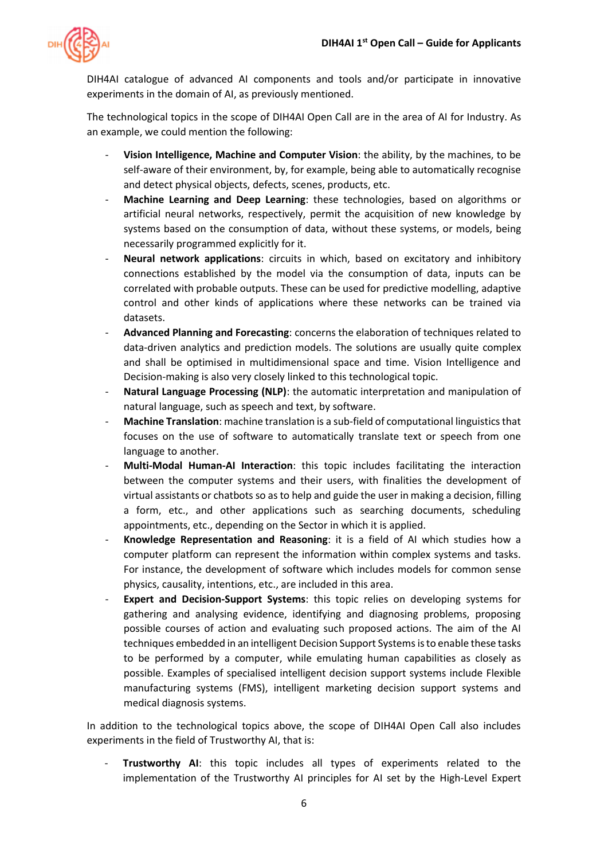

DIH4AI catalogue of advanced AI components and tools and/or participate in innovative experiments in the domain of AI, as previously mentioned.

The technological topics in the scope of DIH4AI Open Call are in the area of AI for Industry. As an example, we could mention the following:

- **Vision Intelligence, Machine and Computer Vision**: the ability, by the machines, to be self-aware of their environment, by, for example, being able to automatically recognise and detect physical objects, defects, scenes, products, etc.
- **Machine Learning and Deep Learning**: these technologies, based on algorithms or artificial neural networks, respectively, permit the acquisition of new knowledge by systems based on the consumption of data, without these systems, or models, being necessarily programmed explicitly for it.
- **Neural network applications**: circuits in which, based on excitatory and inhibitory connections established by the model via the consumption of data, inputs can be correlated with probable outputs. These can be used for predictive modelling, adaptive control and other kinds of applications where these networks can be trained via datasets.
- **Advanced Planning and Forecasting**: concerns the elaboration of techniques related to data-driven analytics and prediction models. The solutions are usually quite complex and shall be optimised in multidimensional space and time. Vision Intelligence and Decision-making is also very closely linked to this technological topic.
- **Natural Language Processing (NLP)**: the automatic interpretation and manipulation of natural language, such as speech and text, by software.
- **Machine Translation**: machine translation is a sub-field of computational linguistics that focuses on the use of software to automatically translate text or speech from one language to another.
- **Multi-Modal Human-AI Interaction**: this topic includes facilitating the interaction between the computer systems and their users, with finalities the development of virtual assistants or chatbots so as to help and guide the user in making a decision, filling a form, etc., and other applications such as searching documents, scheduling appointments, etc., depending on the Sector in which it is applied.
- **Knowledge Representation and Reasoning**: it is a field of AI which studies how a computer platform can represent the information within complex systems and tasks. For instance, the development of software which includes models for common sense physics, causality, intentions, etc., are included in this area.
- **Expert and Decision-Support Systems**: this topic relies on developing systems for gathering and analysing evidence, identifying and diagnosing problems, proposing possible courses of action and evaluating such proposed actions. The aim of the AI techniques embedded in an intelligent Decision Support Systemsis to enable these tasks to be performed by a computer, while emulating human capabilities as closely as possible. Examples of specialised intelligent decision support systems include Flexible manufacturing systems (FMS), intelligent marketing decision support systems and medical diagnosis systems.

In addition to the technological topics above, the scope of DIH4AI Open Call also includes experiments in the field of Trustworthy AI, that is:

- **Trustworthy AI**: this topic includes all types of experiments related to the implementation of the Trustworthy AI principles for AI set by the High-Level Expert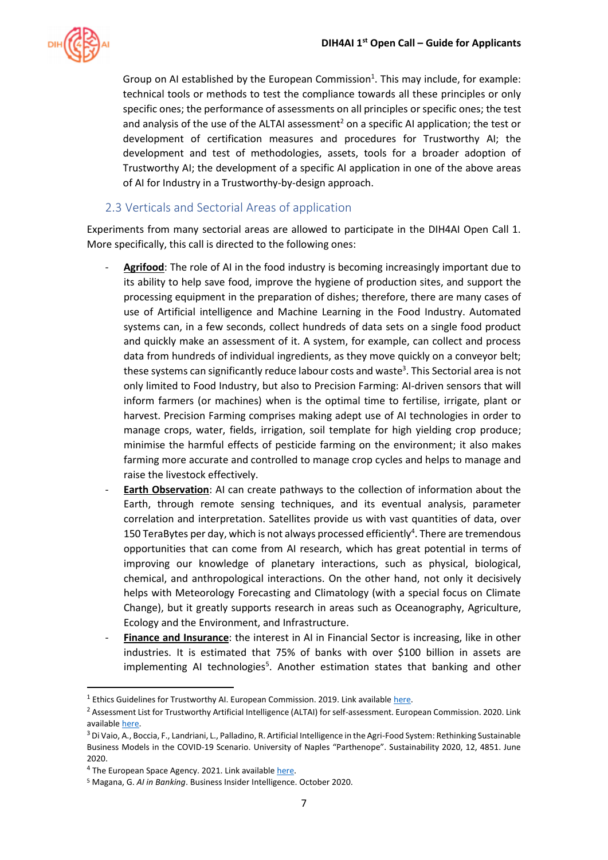

Group on AI established by the European Commission<sup>1</sup>. This may include, for example: technical tools or methods to test the compliance towards all these principles or only specific ones; the performance of assessments on all principles or specific ones; the test and analysis of the use of the ALTAI assessment<sup>2</sup> on a specific AI application; the test or development of certification measures and procedures for Trustworthy AI; the development and test of methodologies, assets, tools for a broader adoption of Trustworthy AI; the development of a specific AI application in one of the above areas of AI for Industry in a Trustworthy-by-design approach.

#### <span id="page-6-0"></span>2.3 Verticals and Sectorial Areas of application

Experiments from many sectorial areas are allowed to participate in the DIH4AI Open Call 1. More specifically, this call is directed to the following ones:

- Agrifood: The role of AI in the food industry is becoming increasingly important due to its ability to help save food, improve the hygiene of production sites, and support the processing equipment in the preparation of dishes; therefore, there are many cases of use of Artificial intelligence and Machine Learning in the Food Industry. Automated systems can, in a few seconds, collect hundreds of data sets on a single food product and quickly make an assessment of it. A system, for example, can collect and process data from hundreds of individual ingredients, as they move quickly on a conveyor belt; these systems can significantly reduce labour costs and waste<sup>3</sup>. This Sectorial area is not only limited to Food Industry, but also to Precision Farming: AI-driven sensors that will inform farmers (or machines) when is the optimal time to fertilise, irrigate, plant or harvest. Precision Farming comprises making adept use of AI technologies in order to manage crops, water, fields, irrigation, soil template for high yielding crop produce; minimise the harmful effects of pesticide farming on the environment; it also makes farming more accurate and controlled to manage crop cycles and helps to manage and raise the livestock effectively.
- **Earth Observation**: AI can create pathways to the collection of information about the Earth, through remote sensing techniques, and its eventual analysis, parameter correlation and interpretation. Satellites provide us with vast quantities of data, over 150 TeraBytes per day, which is not always processed efficiently<sup>4</sup>. There are tremendous opportunities that can come from AI research, which has great potential in terms of improving our knowledge of planetary interactions, such as physical, biological, chemical, and anthropological interactions. On the other hand, not only it decisively helps with Meteorology Forecasting and Climatology (with a special focus on Climate Change), but it greatly supports research in areas such as Oceanography, Agriculture, Ecology and the Environment, and Infrastructure.
- **Finance and Insurance**: the interest in AI in Financial Sector is increasing, like in other industries. It is estimated that 75% of banks with over \$100 billion in assets are implementing AI technologies<sup>5</sup>. Another estimation states that banking and other

<sup>&</sup>lt;sup>1</sup> Ethics Guidelines for Trustworthy AI. European Commission. 2019. Link available here.

<sup>&</sup>lt;sup>2</sup> Assessment List for Trustworthy Artificial Intelligence (ALTAI) for self-assessment. European Commission. 2020. Link availabl[e here.](https://wayback.archive-it.org/12090/20210728013335/https:/digital-strategy.ec.europa.eu/en/library/assessment-list-trustworthy-artificial-intelligence-altai-self-assessment) 

<sup>&</sup>lt;sup>3</sup> Di Vaio, A., Boccia, F., Landriani, L., Palladino, R. Artificial Intelligence in the Agri-Food System: Rethinking Sustainable Business Models in the COVID-19 Scenario. University of Naples "Parthenope". Sustainability 2020, 12, 4851. June 2020.

<sup>&</sup>lt;sup>4</sup> The European Space Agency. 2021. Link availabl[e here.](https://www.esa.int/Applications/Observing_the_Earth/Working_towards_AI_and_Earth_observation)

<sup>5</sup> Magana, G. *AI in Banking*. Business Insider Intelligence. October 2020.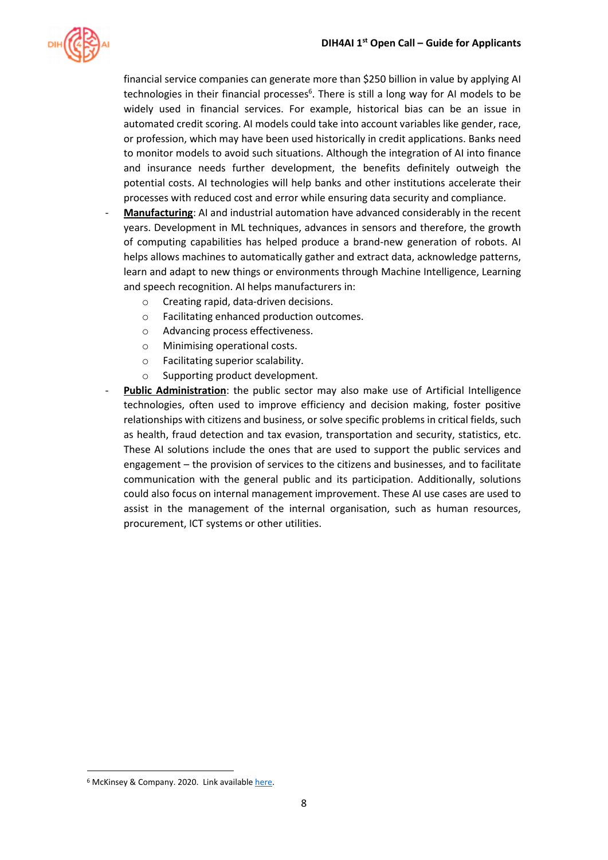

financial service companies can generate more than \$250 billion in value by applying AI technologies in their financial processes<sup>6</sup>. There is still a long way for AI models to be widely used in financial services. For example, historical bias can be an issue in automated credit scoring. AI models could take into account variables like gender, race, or profession, which may have been used historically in credit applications. Banks need to monitor models to avoid such situations. Although the integration of AI into finance and insurance needs further development, the benefits definitely outweigh the potential costs. AI technologies will help banks and other institutions accelerate their processes with reduced cost and error while ensuring data security and compliance.

- Manufacturing: AI and industrial automation have advanced considerably in the recent years. Development in ML techniques, advances in sensors and therefore, the growth of computing capabilities has helped produce a brand-new generation of robots. AI helps allows machines to automatically gather and extract data, acknowledge patterns, learn and adapt to new things or environments through Machine Intelligence, Learning and speech recognition. AI helps manufacturers in:
	- o Creating rapid, data-driven decisions.
	- o Facilitating enhanced production outcomes.
	- o Advancing process effectiveness.
	- o Minimising operational costs.
	- o Facilitating superior scalability.
	- o Supporting product development.
- Public Administration: the public sector may also make use of Artificial Intelligence technologies, often used to improve efficiency and decision making, foster positive relationships with citizens and business, or solve specific problems in critical fields, such as health, fraud detection and tax evasion, transportation and security, statistics, etc. These AI solutions include the ones that are used to support the public services and engagement – the provision of services to the citizens and businesses, and to facilitate communication with the general public and its participation. Additionally, solutions could also focus on internal management improvement. These AI use cases are used to assist in the management of the internal organisation, such as human resources, procurement, ICT systems or other utilities.

<sup>&</sup>lt;sup>6</sup> McKinsey & Company. 2020. Link available here.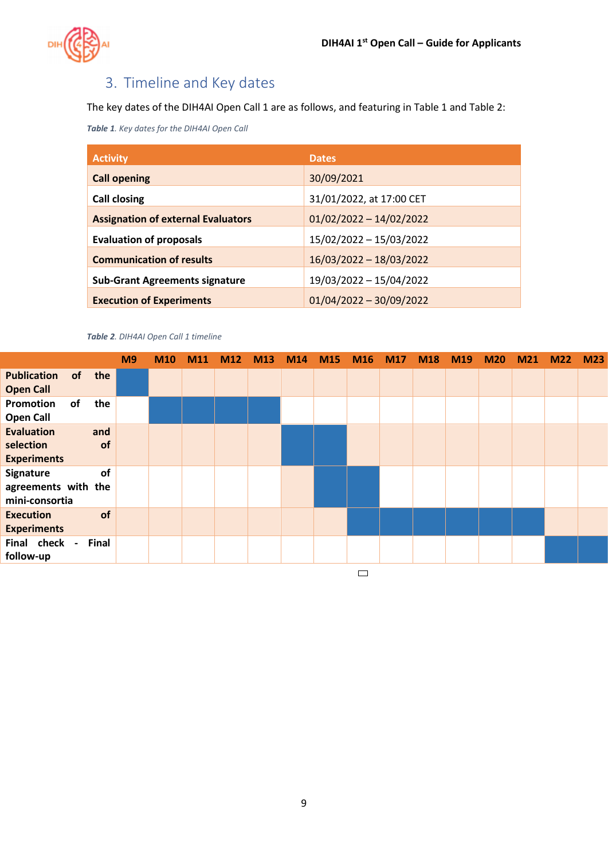

# <span id="page-8-0"></span>3. Timeline and Key dates

The key dates of the DIH4AI Open Call 1 are as follows, and featuring i[n Table 1](#page-8-1) an[d Table 2:](#page-8-2)

<span id="page-8-1"></span>*Table 1. Key dates for the DIH4AI Open Call*

| <b>Activity</b>                           | <b>Dates</b>              |
|-------------------------------------------|---------------------------|
| <b>Call opening</b>                       | 30/09/2021                |
| <b>Call closing</b>                       | 31/01/2022, at 17:00 CET  |
| <b>Assignation of external Evaluators</b> | $01/02/2022 - 14/02/2022$ |
| <b>Evaluation of proposals</b>            | 15/02/2022 - 15/03/2022   |
| <b>Communication of results</b>           | 16/03/2022 - 18/03/2022   |
| <b>Sub-Grant Agreements signature</b>     | 19/03/2022 - 15/04/2022   |
| <b>Execution of Experiments</b>           | $01/04/2022 - 30/09/2022$ |

<span id="page-8-2"></span>*Table 2. DIH4AI Open Call 1 timeline*

|                                                      |    |           | M <sub>9</sub> | <b>M10</b> | M11 | M12 | M13 | <b>M14</b> | <b>M15</b> | M16 M17 | <b>M18</b> | M <sub>19</sub> | <b>M20</b> | M <sub>21</sub> | M <sub>2</sub> | M <sub>23</sub> |
|------------------------------------------------------|----|-----------|----------------|------------|-----|-----|-----|------------|------------|---------|------------|-----------------|------------|-----------------|----------------|-----------------|
| <b>Publication</b><br><b>Open Call</b>               | of | the       |                |            |     |     |     |            |            |         |            |                 |            |                 |                |                 |
| Promotion<br><b>Open Call</b>                        | of | the       |                |            |     |     |     |            |            |         |            |                 |            |                 |                |                 |
| <b>Evaluation</b><br>selection<br><b>Experiments</b> |    | and<br>of |                |            |     |     |     |            |            |         |            |                 |            |                 |                |                 |
| Signature<br>agreements with the<br>mini-consortia   |    | of        |                |            |     |     |     |            |            |         |            |                 |            |                 |                |                 |
| <b>Execution</b><br><b>Experiments</b>               |    | of        |                |            |     |     |     |            |            |         |            |                 |            |                 |                |                 |
| Final check -<br>follow-up                           |    | Final     |                |            |     |     |     |            |            |         |            |                 |            |                 |                |                 |
|                                                      |    |           |                |            |     |     |     |            |            |         |            |                 |            |                 |                |                 |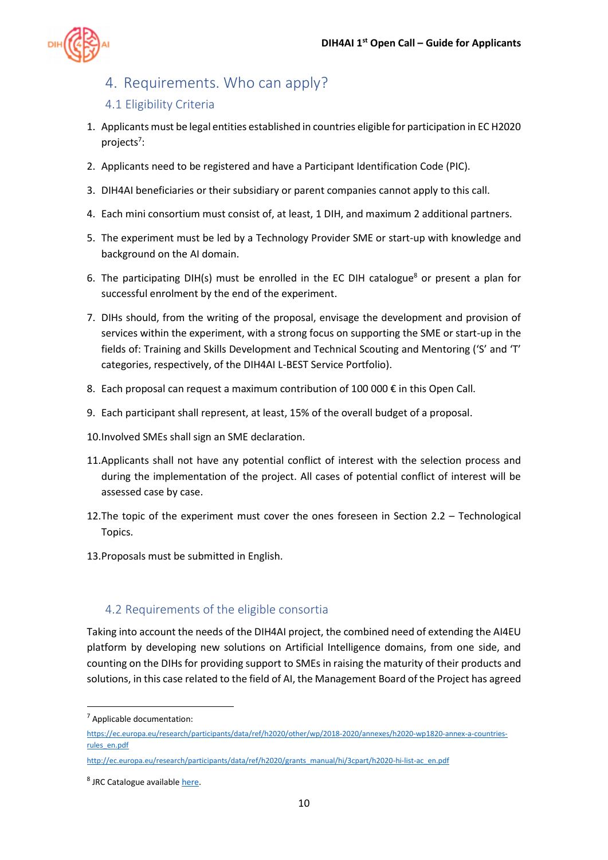

### <span id="page-9-0"></span>4. Requirements. Who can apply?

#### <span id="page-9-1"></span>4.1 Eligibility Criteria

- 1. Applicants must be legal entities established in countries eligible for participation in EC H2020 projects<sup>7</sup>:
- 2. Applicants need to be registered and have a Participant Identification Code (PIC).
- 3. DIH4AI beneficiaries or their subsidiary or parent companies cannot apply to this call.
- 4. Each mini consortium must consist of, at least, 1 DIH, and maximum 2 additional partners.
- 5. The experiment must be led by a Technology Provider SME or start-up with knowledge and background on the AI domain.
- 6. The participating DIH(s) must be enrolled in the EC DIH catalogue<sup>8</sup> or present a plan for successful enrolment by the end of the experiment.
- 7. DIHs should, from the writing of the proposal, envisage the development and provision of services within the experiment, with a strong focus on supporting the SME or start-up in the fields of: Training and Skills Development and Technical Scouting and Mentoring ('S' and 'T' categories, respectively, of the DIH4AI L-BEST Service Portfolio).
- 8. Each proposal can request a maximum contribution of 100 000  $\epsilon$  in this Open Call.
- 9. Each participant shall represent, at least, 15% of the overall budget of a proposal.
- 10.Involved SMEs shall sign an SME declaration.
- 11.Applicants shall not have any potential conflict of interest with the selection process and during the implementation of the project. All cases of potential conflict of interest will be assessed case by case.
- 12.The topic of the experiment must cover the ones foreseen in Section [2.2](#page-4-2) [Technological](#page-4-2)  [Topics.](#page-4-2)
- 13.Proposals must be submitted in English.

### <span id="page-9-2"></span>4.2 Requirements of the eligible consortia

Taking into account the needs of the DIH4AI project, the combined need of extending the AI4EU platform by developing new solutions on Artificial Intelligence domains, from one side, and counting on the DIHs for providing support to SMEs in raising the maturity of their products and solutions, in this case related to the field of AI, the Management Board of the Project has agreed

<sup>7</sup> Applicable documentation:

[https://ec.europa.eu/research/participants/data/ref/h2020/other/wp/2018-2020/annexes/h2020-wp1820-annex-a-countries](https://ec.europa.eu/research/participants/data/ref/h2020/other/wp/2018-2020/annexes/h2020-wp1820-annex-a-countries-rules_en.pdf)[rules\\_en.pdf](https://ec.europa.eu/research/participants/data/ref/h2020/other/wp/2018-2020/annexes/h2020-wp1820-annex-a-countries-rules_en.pdf)

[http://ec.europa.eu/research/participants/data/ref/h2020/grants\\_manual/hi/3cpart/h2020-hi-list-ac\\_en.pdf](http://ec.europa.eu/research/participants/data/ref/h2020/grants_manual/hi/3cpart/h2020-hi-list-ac_en.pdf)

<sup>&</sup>lt;sup>8</sup> JRC Catalogue available [here.](https://s3platform.jrc.ec.europa.eu/digital-innovation-hubs-tool)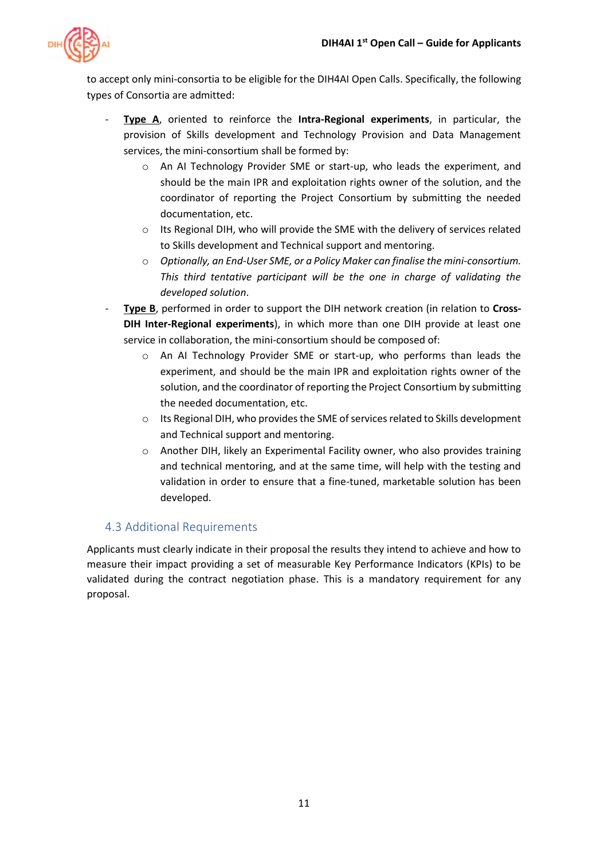

to accept only mini-consortia to be eligible for the DIH4AI Open Calls. Specifically, the following types of Consortia are admitted:

- **Type A**, oriented to reinforce the **Intra-Regional experiments**, in particular, the provision of Skills development and Technology Provision and Data Management services, the mini-consortium shall be formed by:
	- o An AI Technology Provider SME or start-up, who leads the experiment, and should be the main IPR and exploitation rights owner of the solution, and the coordinator of reporting the Project Consortium by submitting the needed documentation, etc.
	- o Its Regional DIH, who will provide the SME with the delivery of services related to Skills development and Technical support and mentoring.
	- o *Optionally, an End-User SME, or a Policy Maker can finalise the mini-consortium. This third tentative participant will be the one in charge of validating the developed solution*.
- **Type B**, performed in order to support the DIH network creation (in relation to Cross-**DIH Inter-Regional experiments**), in which more than one DIH provide at least one service in collaboration, the mini-consortium should be composed of:
	- o An AI Technology Provider SME or start-up, who performs than leads the experiment, and should be the main IPR and exploitation rights owner of the solution, and the coordinator of reporting the Project Consortium by submitting the needed documentation, etc.
	- o Its Regional DIH, who provides the SME of services related to Skills development and Technical support and mentoring.
	- o Another DIH, likely an Experimental Facility owner, who also provides training and technical mentoring, and at the same time, will help with the testing and validation in order to ensure that a fine-tuned, marketable solution has been developed.

### <span id="page-10-0"></span>4.3 Additional Requirements

Applicants must clearly indicate in their proposal the results they intend to achieve and how to measure their impact providing a set of measurable Key Performance Indicators (KPIs) to be validated during the contract negotiation phase. This is a mandatory requirement for any proposal.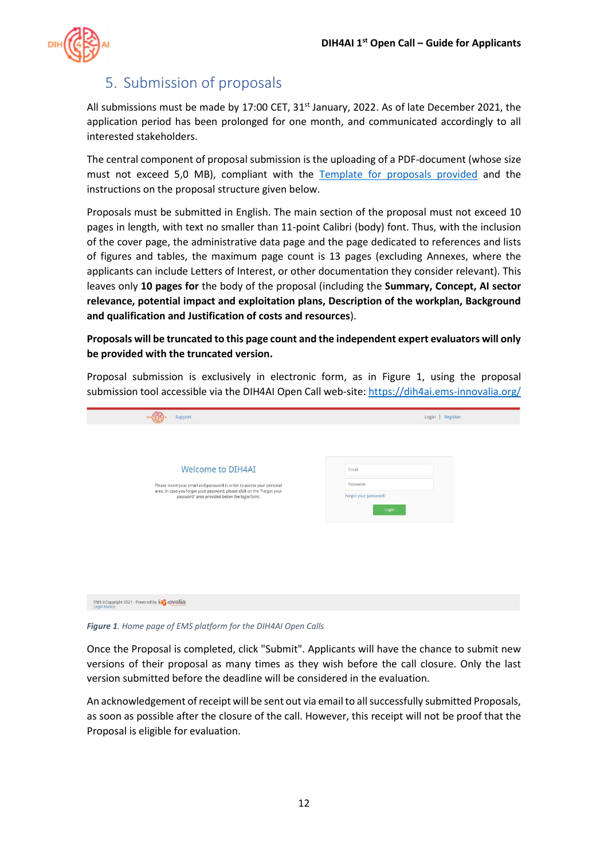

### <span id="page-11-0"></span>5. Submission of proposals

All submissions must be made by 17:00 CET, 31<sup>st</sup> January, 2022. As of late December 2021, the application period has been prolonged for one month, and communicated accordingly to all interested stakeholders.

The central component of proposal submission is the uploading of a PDF-document (whose size must not exceed 5,0 MB), compliant with the [Template for proposals provided](https://52ae5b28-ee42-4cb4-8fd4-681897413dc8.filesusr.com/ugd/0ad4a2_126c75bc19e64654aebda436623027ed.docx?dn=DIH4AI%20%20OC1%20-%20template%20for%20proposals.docx) and the instructions on the proposal structure given below.

Proposals must be submitted in English. The main section of the proposal must not exceed 10 pages in length, with text no smaller than 11-point Calibri (body) font. Thus, with the inclusion of the cover page, the administrative data page and the page dedicated to references and lists of figures and tables, the maximum page count is 13 pages (excluding Annexes, where the applicants can include Letters of Interest, or other documentation they consider relevant). This leaves only **10 pages for** the body of the proposal (including the **Summary, Concept, AI sector relevance, potential impact and exploitation plans, Description of the workplan, Background and qualification and Justification of costs and resources**).

**Proposals will be truncated to this page count and the independent expert evaluators will only be provided with the truncated version.**

Support Login | Register Welcome to DIH4AI Email .<br>Please insert your email and password in order to access your personal<br>area. In case you forgot your password, please click on the "Forgot your Doccupation ea. In case you forgot your password, please click on the<br>password" area provided below the login form EMS ©Copyright 2021 - Powered by incorrection

Proposal submission is exclusively in electronic form, as in [Figure 1,](#page-11-1) using the proposal submission tool accessible via the DIH4AI Open Call web-site:<https://dih4ai.ems-innovalia.org/>

<span id="page-11-1"></span>*Figure 1. Home page of EMS platform for the DIH4AI Open Calls*

Once the Proposal is completed, click "Submit". Applicants will have the chance to submit new versions of their proposal as many times as they wish before the call closure. Only the last version submitted before the deadline will be considered in the evaluation.

An acknowledgement of receipt will be sent out via email to all successfully submitted Proposals, as soon as possible after the closure of the call. However, this receipt will not be proof that the Proposal is eligible for evaluation.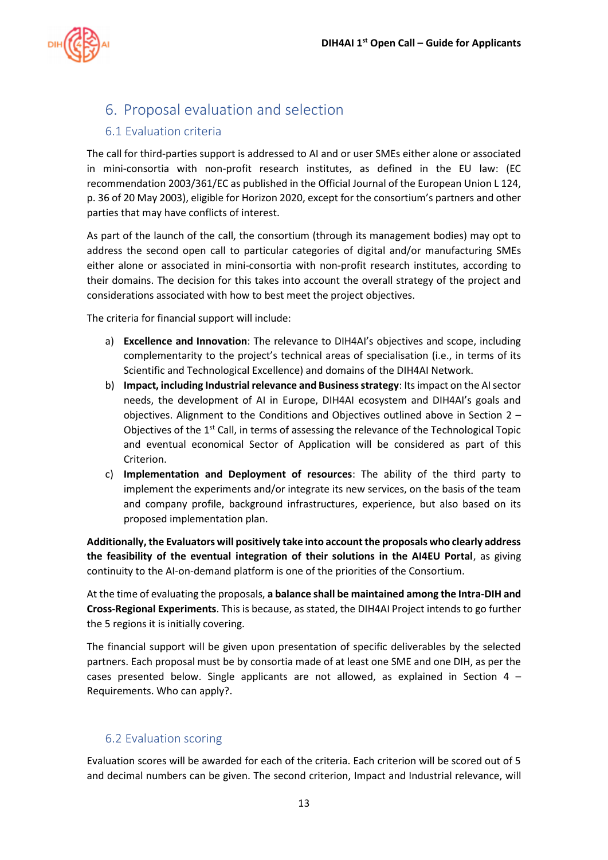

### <span id="page-12-0"></span>6. Proposal evaluation and selection

#### <span id="page-12-1"></span>6.1 Evaluation criteria

The call for third-parties support is addressed to AI and or user SMEs either alone or associated in mini-consortia with non-profit research institutes, as defined in the EU law: (EC recommendation 2003/361/EC as published in the Official Journal of the European Union L 124, p. 36 of 20 May 2003), eligible for Horizon 2020, except for the consortium's partners and other parties that may have conflicts of interest.

As part of the launch of the call, the consortium (through its management bodies) may opt to address the second open call to particular categories of digital and/or manufacturing SMEs either alone or associated in mini-consortia with non-profit research institutes, according to their domains. The decision for this takes into account the overall strategy of the project and considerations associated with how to best meet the project objectives.

The criteria for financial support will include:

- a) **Excellence and Innovation**: The relevance to DIH4AI's objectives and scope, including complementarity to the project's technical areas of specialisation (i.e., in terms of its Scientific and Technological Excellence) and domains of the DIH4AI Network.
- b) **Impact, including Industrial relevance and Business strategy**: Its impact on the AI sector needs, the development of AI in Europe, DIH4AI ecosystem and DIH4AI's goals and objectives. Alignment to the Conditions and Objectives outlined above in Section [2](#page-4-0) – [Objectives of the 1](#page-4-0)<sup>st</sup> Call, in terms of assessing the relevance of the Technological Topic and eventual economical Sector of Application will be considered as part of this Criterion.
- c) **Implementation and Deployment of resources**: The ability of the third party to implement the experiments and/or integrate its new services, on the basis of the team and company profile, background infrastructures, experience, but also based on its proposed implementation plan.

**Additionally, the Evaluators will positively take into account the proposals who clearly address the feasibility of the eventual integration of their solutions in the AI4EU Portal**, as giving continuity to the AI-on-demand platform is one of the priorities of the Consortium.

At the time of evaluating the proposals, **a balance shall be maintained among the Intra-DIH and Cross-Regional Experiments**. This is because, as stated, the DIH4AI Project intends to go further the 5 regions it is initially covering.

The financial support will be given upon presentation of specific deliverables by the selected partners. Each proposal must be by consortia made of at least one SME and one DIH, as per the cases presented below. Single applicants are not allowed, as explained in Section [4](#page-9-0)  $-$ [Requirements. Who can apply?.](#page-9-0)

#### <span id="page-12-2"></span>6.2 Evaluation scoring

Evaluation scores will be awarded for each of the criteria. Each criterion will be scored out of 5 and decimal numbers can be given. The second criterion, Impact and Industrial relevance, will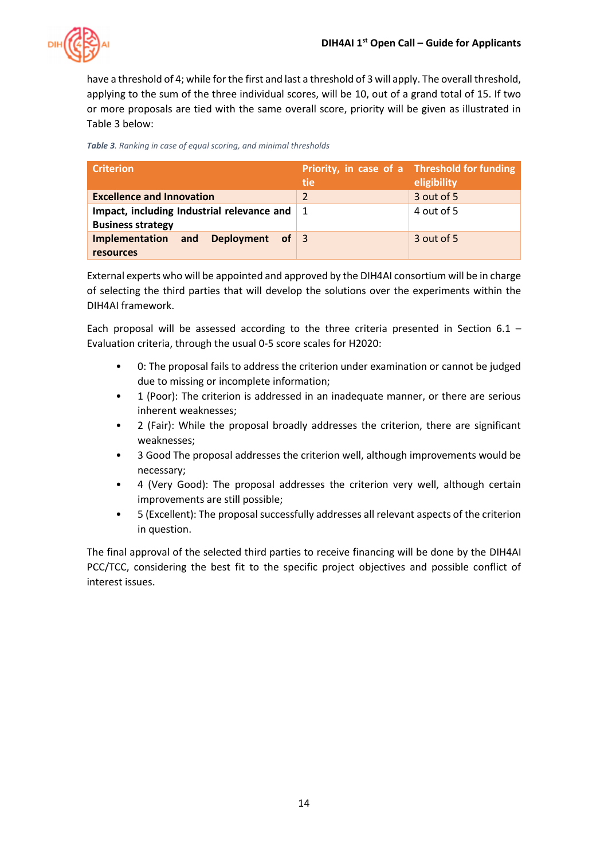

have a threshold of 4; while for the first and last a threshold of 3 will apply. The overall threshold, applying to the sum of the three individual scores, will be 10, out of a grand total of 15. If two or more proposals are tied with the same overall score, priority will be given as illustrated in [Table 3](#page-13-0) below:

<span id="page-13-0"></span>*Table 3. Ranking in case of equal scoring, and minimal thresholds*

| <b>Criterion</b>                                                                                                   | tie                      | Priority, in case of a Threshold for funding<br>eligibility |
|--------------------------------------------------------------------------------------------------------------------|--------------------------|-------------------------------------------------------------|
| <b>Excellence and Innovation</b>                                                                                   | $\overline{\mathcal{L}}$ | 3 out of 5                                                  |
| Impact, including Industrial relevance and $\begin{array}{ c c } \hline \end{array}$ 1<br><b>Business strategy</b> |                          | 4 out of 5                                                  |
| Implementation and Deployment of 3<br>resources                                                                    |                          | 3 out of 5                                                  |

External experts who will be appointed and approved by the DIH4AI consortium will be in charge of selecting the third parties that will develop the solutions over the experiments within the DIH4AI framework.

Each proposal will be assessed according to the three criteria presented in Section [6.1](#page-12-1) – [Evaluation](#page-12-1) criteria, through the usual 0-5 score scales for H2020:

- 0: The proposal fails to address the criterion under examination or cannot be judged due to missing or incomplete information;
- 1 (Poor): The criterion is addressed in an inadequate manner, or there are serious inherent weaknesses;
- 2 (Fair): While the proposal broadly addresses the criterion, there are significant weaknesses;
- 3 Good The proposal addresses the criterion well, although improvements would be necessary;
- 4 (Very Good): The proposal addresses the criterion very well, although certain improvements are still possible;
- 5 (Excellent): The proposal successfully addresses all relevant aspects of the criterion in question.

The final approval of the selected third parties to receive financing will be done by the DIH4AI PCC/TCC, considering the best fit to the specific project objectives and possible conflict of interest issues.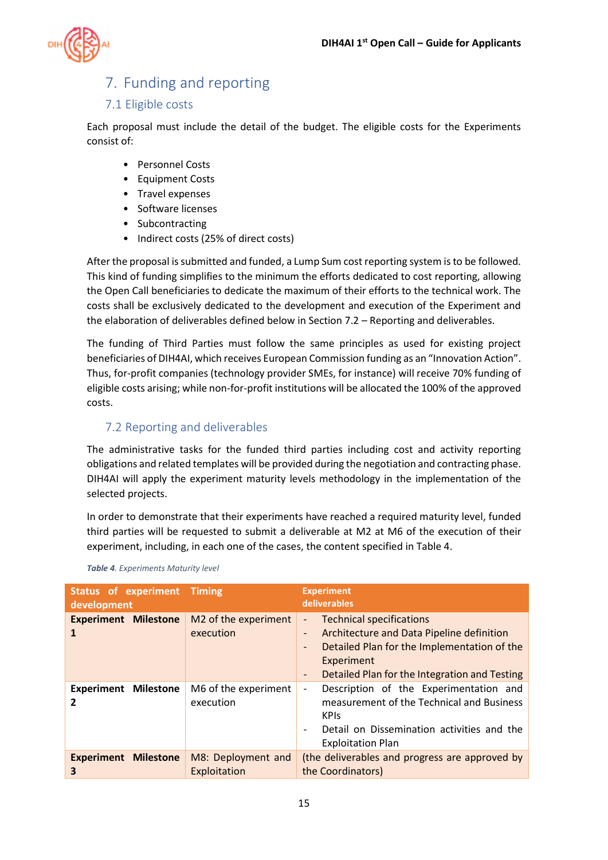

# <span id="page-14-0"></span>7. Funding and reporting

#### <span id="page-14-1"></span>7.1 Eligible costs

Each proposal must include the detail of the budget. The eligible costs for the Experiments consist of:

- Personnel Costs
- Equipment Costs
- Travel expenses
- Software licenses
- Subcontracting
- Indirect costs (25% of direct costs)

After the proposal is submitted and funded, a Lump Sum cost reporting system is to be followed. This kind of funding simplifies to the minimum the efforts dedicated to cost reporting, allowing the Open Call beneficiaries to dedicate the maximum of their efforts to the technical work. The costs shall be exclusively dedicated to the development and execution of the Experiment and the elaboration of deliverables defined below in Sectio[n 7.2](#page-14-2) – [Reporting and deliverables.](#page-14-2)

The funding of Third Parties must follow the same principles as used for existing project beneficiaries of DIH4AI, which receives European Commission funding as an "Innovation Action". Thus, for-profit companies (technology provider SMEs, for instance) will receive 70% funding of eligible costs arising; while non-for-profit institutions will be allocated the 100% of the approved costs.

### <span id="page-14-2"></span>7.2 Reporting and deliverables

The administrative tasks for the funded third parties including cost and activity reporting obligations and related templates will be provided during the negotiation and contracting phase. DIH4AI will apply the experiment maturity levels methodology in the implementation of the selected projects.

In order to demonstrate that their experiments have reached a required maturity level, funded third parties will be requested to submit a deliverable at M2 at M6 of the execution of their experiment, including, in each one of the cases, the content specified in [Table 4.](#page-14-3)

| <b>Status of experiment Timing</b><br>development |                                    | <b>Experiment</b><br>deliverables                                                                                                                                                                                                                       |  |  |  |  |
|---------------------------------------------------|------------------------------------|---------------------------------------------------------------------------------------------------------------------------------------------------------------------------------------------------------------------------------------------------------|--|--|--|--|
| <b>Experiment Milestone</b>                       | M2 of the experiment<br>execution  | <b>Technical specifications</b><br>$\overline{\phantom{0}}$<br>Architecture and Data Pipeline definition<br>$\overline{\phantom{a}}$<br>Detailed Plan for the Implementation of the<br>Experiment<br>Detailed Plan for the Integration and Testing<br>٠ |  |  |  |  |
| <b>Experiment Milestone</b>                       | M6 of the experiment<br>execution  | Description of the Experimentation and<br>measurement of the Technical and Business<br><b>KPIS</b><br>Detail on Dissemination activities and the<br>$\overline{\phantom{a}}$<br><b>Exploitation Plan</b>                                                |  |  |  |  |
| <b>Experiment</b><br><b>Milestone</b><br>3        | M8: Deployment and<br>Exploitation | (the deliverables and progress are approved by<br>the Coordinators)                                                                                                                                                                                     |  |  |  |  |

<span id="page-14-3"></span>*Table 4. Experiments Maturity level*